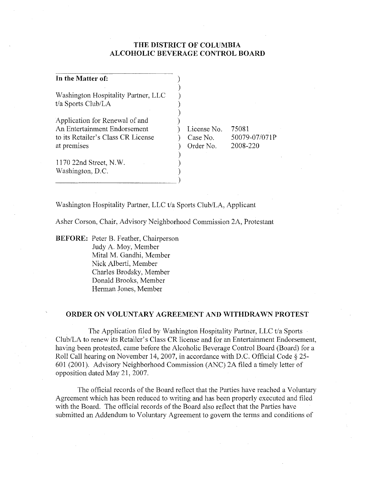# **THE DISTRICT OF COLUMBIA ALCOHOLIC BEVERAGE CONTROL BOARD**

| In the Matter of:                                         |             |               |
|-----------------------------------------------------------|-------------|---------------|
| Washington Hospitality Partner, LLC<br>t/a Sports Club/LA |             |               |
| Application for Renewal of and                            |             |               |
| An Entertainment Endorsement                              | License No. | 75081         |
| to its Retailer's Class CR License                        | Case No.    | 50079-07/071P |
| at premises                                               | Order No.   | 2008-220      |
|                                                           |             |               |
| 1170 22nd Street, N.W.                                    |             |               |
| Washington, D.C.                                          |             |               |
|                                                           |             |               |

Washington Hospitality Partner, LLC t/a Sports Club/LA, Applicant

Asher Corson, Chair, Advisory Neighborhood Commission 2A, Protestant

**BEFORE:** Peter B. Feather, Chairperson Judy A. Moy, Member Mital M. Gandhi, Member Nick Alberti, Member Charles Brodsky, Member Donald Brooks, Member Herman Jones, Member

### **ORDER ON VOLUNTARY AGREEMENT AND WITHDRAWN PROTEST**

The Application filed by Washington Hospitality Partner, LLC t/a Sports ClublLA to renew its Retailer's Class CR license and for an Entertainment Endorsement, having been protested, came before the Alcoholic Beverage Control Board (Board) for a Roll Call hearing on November 14, 2007, in accordance with D.C. Official Code § 25- 601 (2001). Advisory Neighborhood Commission (ANC) 2A filed a timely letter of opposition dated May 21,2007.

The official records of the Board reflect that the Pmties have reached a Voluntary Agreement which has been reduced to writing and has been properly executed and filed with the Board. The official records of the Board also reflect that the Parties have submitted an Addendum to Voluntary Agreement to govern the terms and conditions of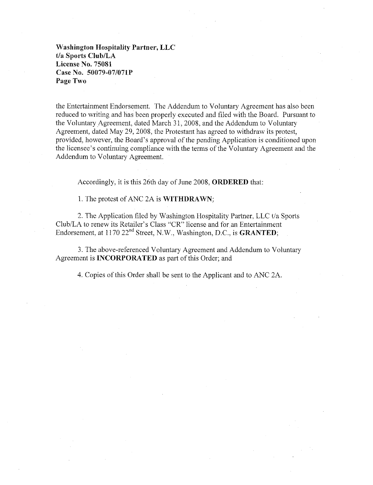**Washington Hospitality Partner, LLC**  t/a Sports Club/LA **License No. 75081 Case No. 50079-07f071P**  Page Two

the Entertainment Endorsement. The Addendum to Voluntary Agreement has also been reduced to writing and has been properly executed and filed with the Board. Pursuant to the Voluntary Agreement. dated March 31. 2008. and the Addendum to Voluntary Agreement, dated May 29.2008. the Protestant has agreed to withdraw its protest, provided, however, the Board's approval of the pending Application is conditioned upon the licensee's continuing compliance with the terms of the Voluntary Agreement and the Addendum to Voluntary Agreement.

Accordingly, it is this 26th day of June 2008, **ORDERED** that:

1. The protest of ANC 2A is **WITHDRAWN;** 

2. The Application filed by Washington Hospitality Partner, LLC t/a Sports Club/LA to renew its Retailer's Class "CR" license and for an Entertainment Endorsement, at 1170 22<sup>nd</sup> Street, N.W., Washington, D.C., is **GRANTED**;

3. The above-referenced Voluntary Agreement and Addendum to Voluntary Agreement is **INCORPORATED** as part of this Order; and

4. Copies of this Order shall be sent to the Applicant and to ANC 2A.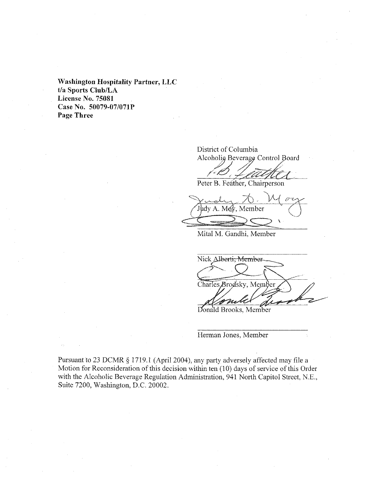**Washington Hospitality Partner, LLC t/a Sports ClublLA License No. 75081 Case No. S0079-07/071P Page Three** 

District of Columbia

Alcoholig Beverage Control Board

Peter B. Feather, Chairperson

 $\int \int \frac{1}{4} \, dx$  . Moy, Member Mital M. Gandhi, Member

Nick Alberti, Member Charles Brodsky, Member

Donald Brooks, Member

Herman Jones, Member

Pursuant to 23 DCMR § 1719.1 (April 2004), any party adversely affected may file a Motion for Reconsideration of this decision within ten (10) days of service of this Order with the Alcoholic Beverage Regulation Administration, 941 North Capitol Street, N.E., Suite 7200, Washington, D.C. 20002.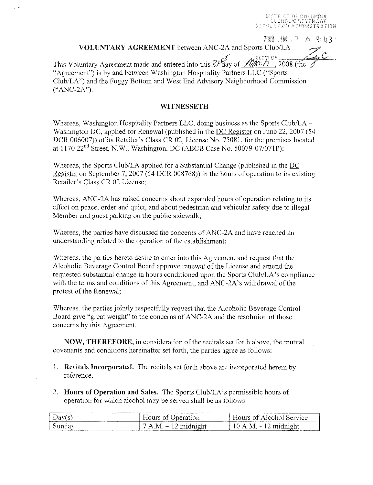-TRICT OF COLUMBIA<br>COHOLIC BEVERAGE **STOR ADMINISTRATION** 

**2008 JIN 17 A 9 h 7** 

**VOLUNTARY AGREEMENT** between ANC-2A and Sports Club/LA 71

This Voluntary Agreement made and entered into this 3) day of  $\mathcal{M}_{\alpha}^{k\in\mathcal{P}_{\beta}}$  (the  $\mathcal{L}_{\alpha}$ "Agreement") is by and between Washington Hospitality Partners LLC ("Sports" Club/LA") and the Foggy Bottom and West End Advisory Neighborhood Commission ("ANC-2A").

## **WITNESSETH**

Whereas, Washington Hospitality Partners LLC, doing business as the Sports Club/LA-Washington DC, applied for Renewal (published in the DC Register on June 22, 2007 (54 DCR 006007)) of its Retailer's Class CR 02, License No. 75081, for the premises located at 1170 22nd Street, N.W., Washington, DC (ABCB Case No. 50079-07/071P);

Whereas, the Sports Club/LA applied for a Substantial Change (published in the DC Register on September 7, 2007 (54 DCR 008768)) in the hours of operation to its existing Retailer's Class CR 02 License;

Whereas, ANC-2A has raised concerns about expanded hours of operation relating to its etTect on peace, order and quiet, and about pedestrian and vehicular safety due to illegal Member and guest parking on the public sidewalk;

Whereas, the parties have discussed the concerns of ANC-2A and have reached an understanding related to the operation of the establishment;

Whereas, the parties hereto desire to enter into this Agreement and request that the Alcoholic Beverage Control Board approve renewal of the License and amend the requested substantial change in hours conditioned upon the Sports Club/LA's compliance with the terms and conditions of this Agreement, and ANC-2A's withdrawal of the protest of the Renewal;

Whereas, the parties jointly respectfully request that the Alcoholic Beverage Control Board give "great weight" to the concerns of ANC-2A and the resolution of those concerns by this Agreement.

**NOW, THEREFORE, in consideration of the recitals set forth above, the mutual** covenants and conditions hereinafter set forth, the parties agree as follows:

- 1. **Recitals Incorporated.** The recitals set forth above are incorporated herein by reference.
- 2. **Hours of Operation and Sales.** The Sports Club/LA's permissible hours of operation for which alcohol may be served shall be as follows:

| .<br>.                          | .                                                                                                 | ----------------                            |
|---------------------------------|---------------------------------------------------------------------------------------------------|---------------------------------------------|
| <b>Langermann</b><br>----       | beration<br>The property and state of the property and property and property of the firms.<br>--- | Alcohol Service<br>∩Ť                       |
| $\omega$ unda $v$<br>__________ | -7<br>Α<br>-KA<br>midnight<br><b>ARABA</b><br>.                                                   | . midnioht<br>19.<br>vЛ<br>المساد<br>.<br>. |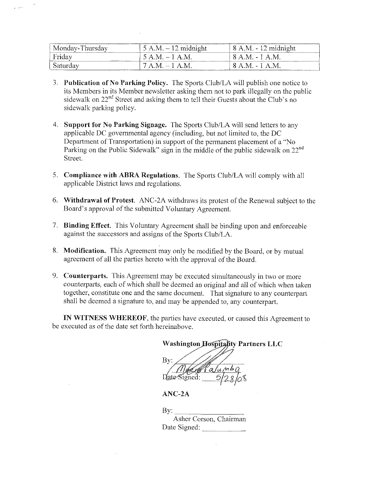| Monday-Thursday<br>------ | $5 A.M. - 12$ midnight                                                                                                                                                                                                                                                                        | $\frac{1}{2}$ 8 A.M. - 12 midnight |
|---------------------------|-----------------------------------------------------------------------------------------------------------------------------------------------------------------------------------------------------------------------------------------------------------------------------------------------|------------------------------------|
| Fridav<br>--------------  | $.5 A.M. - 1 A.M.$                                                                                                                                                                                                                                                                            | ' 8 A.M. - 1 A.M.                  |
| , Saturdav                | -7 A.M. – 1 A.M.<br>and the contract of the contract of<br>$\mathcal{L}$ . The contract of the contract of the contract of the contract of the contract of the contract of the contract of the contract of the contract of the contract of the contract of the contract of the contract of th | -8 A.M. - 1 A.M.                   |

- 3. Publication of No Parking Policy. The Sports Club/LA will publish one notice to its Members in its Member newsletter asking them not to park illegally on the public sidewalk on 22<sup>nd</sup> Street and asking them to tell their Guests about the Club's no sidewalk parking policy.
- 4. Support for No Parking Signage. The Sports Club/LA will send letters to any applicable DC governmental agency (including, but not limited to, the DC Department of Transportation) in support of the permanent placement of a "No Parking on the Public Sidewalk" sign in the middle of the public sidewalk on 22<sup>nd</sup> Street.
- 5. Compliance with ABRA Regulations. The Sports Club/LA will comply with all applicable District laws and regulations.
- 6. Withdrawal of Protest. ANC-2A withdraws its protest of the Renewal subject to the Board's approval of the submitted Voluntary Agreement.
- 7. Binding Effect. This Voluntary Agreement shall be binding upon and enforceable against the successors and assigns of the Sports Club/LA.
- 8. Modification. This Agreement may only be modified by the Board, or by mutual agreement of all the parties hereto with the approval of the Board.
- 9. Counterparts. This Agreement may be executed simultaneously in two or more counterparts, each of which shall be deemed an original and all of which when taken together, constitute one and the same document. That signature to any counterpart shall be deemed a signature to, and may be appended to, any counterpart.

IN WITNESS WHEREOF, the parties have executed, or caused this Agreement to be executed as of the date set forth hereinabove.

**Washington Hospitality Partners LLC** Bv: Date-Signed:

 $ANC-2A$ 

 $\rm\,By:$ 

Asher Corson, Chairman Date Signed: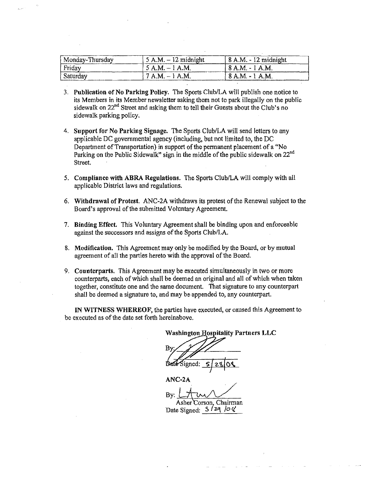| Monday-Thursday | $\vert$ 5 A.M. $-$ 12 midnight | $\approx$ 8 A.M. - 12 midnight |
|-----------------|--------------------------------|--------------------------------|
| Friday          | ' 5 A.M. – 1 A.M.              | . 8 A.M. - 1 A.M.              |
| Saturday        | $7 A.M. - 1 A.M.$              | 8 A.M. - 1 A.M.                |

- 3. Publication of No Parking Policy. The Sports Club/LA will publish one notice to its Members in its Member newsletter asking them not to park illegally on the public sidewalk on 22<sup>nd</sup> Street and asking them to tell their Guests about the Club's no sidewalk parking policy.
- 4. Support for No Parking Signage. The Sports Club/LA will send letters to any applicable DC governmental agency (including, but not limited to, the DC Department of Transportation) in support of the permanent placement of a "No Parking on the Public Sidewalk" sign in the middle of the public sidewalk on 22<sup>nd</sup> Street.
- 5. Compliance with ABRA Regulations. The Sports ClublLA will comply with all applicable District laws and regulations.
- 6. Withdrawal of Protest. ANC·2A withdraws its protest of the Renewal subject to the Board's approval of the submitted Voluntary Agreement.
- 7. Binding Effect. This Voluntary Agreement shall be binding upon and enforceable against the successors and assigns of the Sports Club/LA.
- 8. Modification. This Agreement may only be modified by the Board, or by mutual agreement of all the parties hereto with the approval of the Board.
- 9. Counterparts. This Agreement may be executed simultaneously in two or more counterparts, each of which shall be deemed an original and all of which when taken together, constitute one and the same document. That signature to any counterpart shall be deemed a signature to, and may be appended to, any counterpart.

IN WITNESS WHEREOF, the parties have executed, or caused this Agreement to be executed as of the date set forth hereinabove.

**Washington Hospitality Partners LLC** By: Signed:

ANC·2A

By:  $\sqrt{\omega}$ Asher Corson, Chairman Date Signed:  $5 / 29 / 0 \sqrt{x}$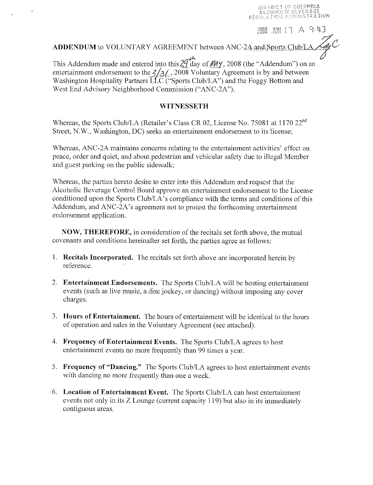DISTRICT OF COLUMBIA ALCOHOLIC SEVERAGE REGULATION ADHINETRATION

7000 BN 17 A 943

**ADDENDUM** to VOLUNTARY AGREEMENT between ANC-2 $\mathbf{A}_z$  and Sports Club/LA,<br>This Addendum made and entered into this  $2q \tan \theta$  of  $M/$ , 2008 (the "Addendum") on an entertainment endorsement to the  $\frac{2}{3}$ . 2008 Voluntary Agreement is by and between Washington Hospitality Partners  $\overline{LLC}$  ("Sports Club/LA") and the Foggy Bottom and West End Advisory Neighborhood Commission ("ANC-2A").

### **WITNESSETH**

Whereas, the Sports Club/LA (Retailer's Class CR 02, License No. 75081 at 1170 22<sup>nd</sup> Street, N.W., Washington, *DC)* seeks an entertainment endorsement to its license;

Whereas, ANC-2A maintains concerns relating to the entertainment activities' effect on peace, order and quiet, and about pedestriau and vehicular safety due to illegal Member and guest parking on the public sidewalk;

Whereas, the parties hereto desire to enter into this Addendum and request that the Alcoholic Beverage Control Board approve an entertainment endorsement to the License conditioned upon the Sports Club/LA's compliauee with the terms and conditions of this Addendum, and ANC-2A's agreement not to protest the forthcoming entertainment endorsement application.

NOW, THEREFORE, in consideration of the recitals set forth above, the mutual covenants aud conditions hereinafter set forth, the parties agree as follows:

- 1. **Recitals Incorporated.** The recitals set forth above are incorporated herein by reference.
- 2. **Entertainment Endorsements.** The Sports Club/LA will be hosting entertainment events (such as live music, a disc jockey, or dancing) without imposing any cover charges.
- 3. **Hours of Entertainment.** The hours of entertainment will be identical to the hours of operation and sales in the Voluntary Agreement (see attached).
- 4. **Frequency of Entertainment Events.** The Sports Club/LA agrees to host entertainment events no more frequently than 99 times a year.
- 5. **Frequency of "Dancing."** The Sports Club/LA agrees to host entertainment events with dancing no more frequently than one a week.
- 6. **Location of Entertainment Event.** The Sports Club/LA can host entertainment events not only in its Z Lounge (current capacity 119) but also in its immediately contiguous areas.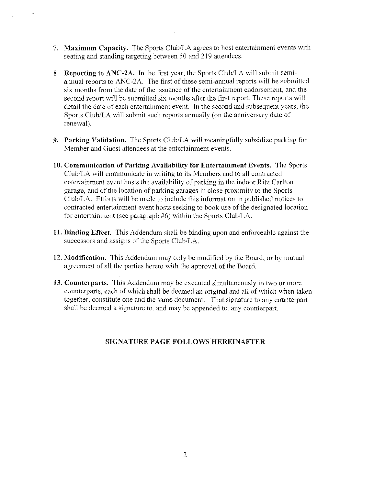- 7. **Maximum Capacity.** The Sports Club/LA agrees to host entertainment events with seating and standing targeting between 50 and 219 attendees.
- 8. **Reporting to ANC-2A.** In the first year, the Sports Club/LA will submit semiannual reports to ANC-2A. The first of these semi-annual reports will be submitted six months from the date of the issuance of the entertainment endorsement, and the second report will be submitted six months after the first report. These reports will detail the date of each entertainment event. In the second and subsequent years, the Sports Club/LA will submit such reports annually (on the anniversary date of renewal).
- **9. Parking Validation.** The Sports Club/LA will meaningfully subsidize parking for Member and Guest attendees at the entertaimnent events.
- **10. Communication of Parking Availability for Entertainment Events.** The Sports Club/LA will communicate in writing to its Members and to all contracted entertainment event hosts the availability of parking in the indoor Ritz Carlton garage, and of the location of parking garages in close proximity to the Sports Club/LA. Efforts will be made to include this information in published notices to contracted entertainment event hosts seeking to book use of the designated location for entertainment (see paragraph #6) within the Sports Club/LA.
- **11. Binding Effect.** This Addendum shall be binding upon and enforceable against the successors and assigns of the Sports Club/LA.
- **12. Modification.** This Addendum may only be modified by the Board, or by mutual agreement of all the parties hereto with the approval of the Board.
- **13. Counterparts.** This Addendum may be executed simultaneously in two or more counterparts, each of which shall be deemed an original and all of which when taken together, constitute one and the same document. That signature to any counterpart shall be deemed a signature to, and may be appended to, any counterpart.

## **SIGNATURE PAGE** FOLLOWS HEREINAFTER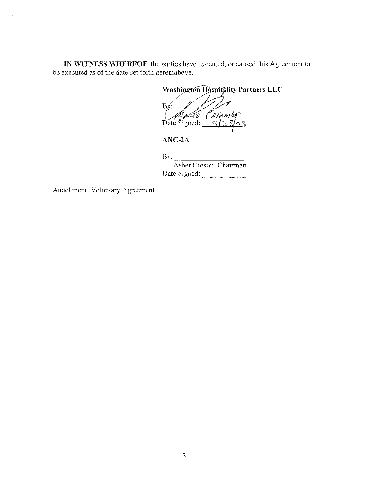IN WITNESS WHEREOF, the parties have executed, or caused this Agreement to be executed as of the date set forth hereinabove.

Washington Hospitality Partners LLC

 $Bx'$ John Calumb Date Signed:  $\frac{6}{5}$ 

 $ANC-2A$ 

By:  $\qquad \qquad$ Asher Corson, Chairman Date Signed:

Attachment: Voluntary Agreement